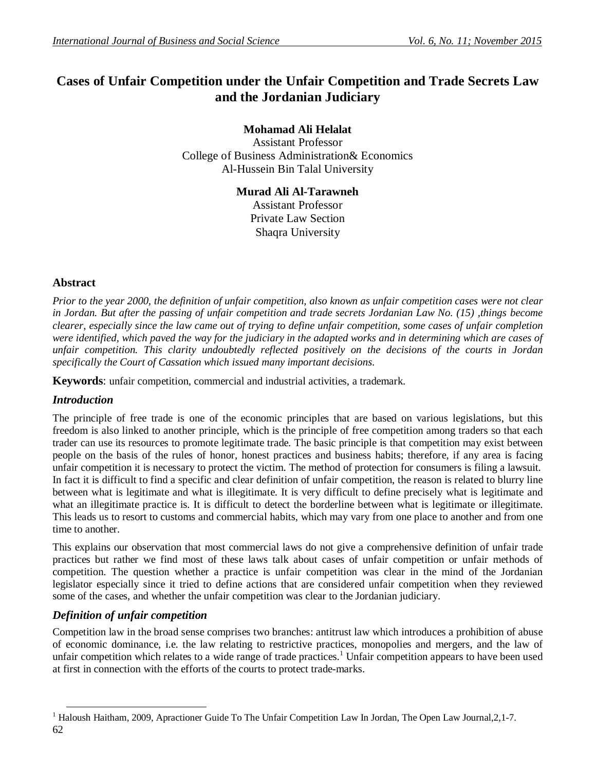# **Cases of Unfair Competition under the Unfair Competition and Trade Secrets Law and the Jordanian Judiciary**

#### **Mohamad Ali Helalat**

Assistant Professor College of Business Administration& Economics Al-Hussein Bin Talal University

#### **Murad Ali Al-Tarawneh**

Assistant Professor Private Law Section Shaqra University

#### **Abstract**

*Prior to the year 2000, the definition of unfair competition, also known as unfair competition cases were not clear in Jordan. But after the passing of unfair competition and trade secrets Jordanian Law No. (15) ,things become clearer, especially since the law came out of trying to define unfair competition, some cases of unfair completion were identified, which paved the way for the judiciary in the adapted works and in determining which are cases of unfair competition. This clarity undoubtedly reflected positively on the decisions of the courts in Jordan specifically the Court of Cassation which issued many important decisions.*

**Keywords**: unfair competition, commercial and industrial activities, a trademark.

# *Introduction*

The principle of free trade is one of the economic principles that are based on various legislations, but this freedom is also linked to another principle, which is the principle of free competition among traders so that each trader can use its resources to promote legitimate trade. The basic principle is that competition may exist between people on the basis of the rules of honor, honest practices and business habits; therefore, if any area is facing unfair competition it is necessary to protect the victim. The method of protection for consumers is filing a lawsuit. In fact it is difficult to find a specific and clear definition of unfair competition, the reason is related to blurry line between what is legitimate and what is illegitimate. It is very difficult to define precisely what is legitimate and what an illegitimate practice is. It is difficult to detect the borderline between what is legitimate or illegitimate. This leads us to resort to customs and commercial habits, which may vary from one place to another and from one time to another.

This explains our observation that most commercial laws do not give a comprehensive definition of unfair trade practices but rather we find most of these laws talk about cases of unfair competition or unfair methods of competition. The question whether a practice is unfair competition was clear in the mind of the Jordanian legislator especially since it tried to define actions that are considered unfair competition when they reviewed some of the cases, and whether the unfair competition was clear to the Jordanian judiciary.

# *Definition of unfair competition*

Competition law in the broad sense comprises two branches: antitrust law which introduces a prohibition of abuse of economic dominance, i.e. the law relating to restrictive practices, monopolies and mergers, and the law of unfair competition which relates to a wide range of trade practices.<sup>1</sup> Unfair competition appears to have been used at first in connection with the efforts of the courts to protect trade-marks.

<sup>62</sup> -<sup>1</sup> Haloush Haitham, 2009, Apractioner Guide To The Unfair Competition Law In Jordan, The Open Law Journal, 2, 1-7.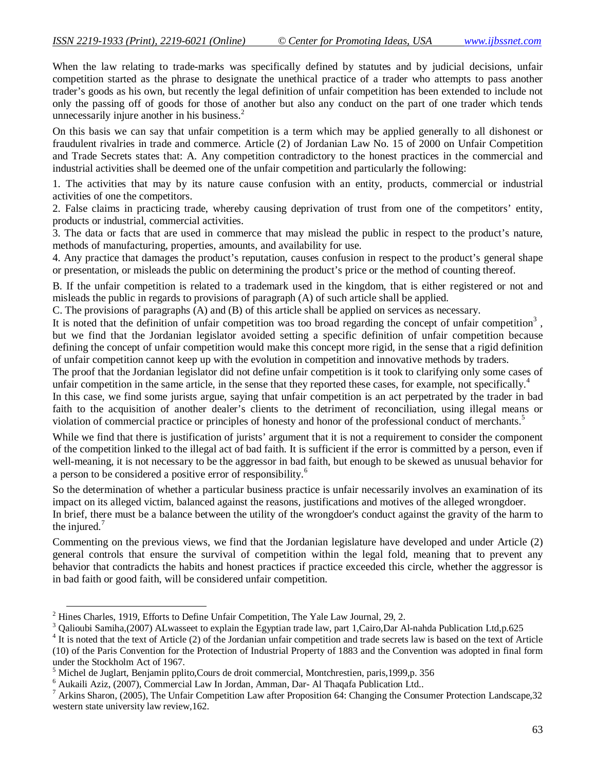When the law relating to trade-marks was specifically defined by statutes and by judicial decisions, unfair competition started as the phrase to designate the unethical practice of a trader who attempts to pass another trader's goods as his own, but recently the legal definition of unfair competition has been extended to include not only the passing off of goods for those of another but also any conduct on the part of one trader which tends unnecessarily injure another in his business.<sup>2</sup>

On this basis we can say that unfair competition is a term which may be applied generally to all dishonest or fraudulent rivalries in trade and commerce. Article (2) of Jordanian Law No. 15 of 2000 on Unfair Competition and Trade Secrets states that: A. Any competition contradictory to the honest practices in the commercial and industrial activities shall be deemed one of the unfair competition and particularly the following:

1. The activities that may by its nature cause confusion with an entity, products, commercial or industrial activities of one the competitors.

2. False claims in practicing trade, whereby causing deprivation of trust from one of the competitors' entity, products or industrial, commercial activities.

3. The data or facts that are used in commerce that may mislead the public in respect to the product's nature, methods of manufacturing, properties, amounts, and availability for use.

4. Any practice that damages the product's reputation, causes confusion in respect to the product's general shape or presentation, or misleads the public on determining the product's price or the method of counting thereof.

B. If the unfair competition is related to a trademark used in the kingdom, that is either registered or not and misleads the public in regards to provisions of paragraph (A) of such article shall be applied.

C. The provisions of paragraphs (A) and (B) of this article shall be applied on services as necessary.

It is noted that the definition of unfair competition was too broad regarding the concept of unfair competition<sup>3</sup>, but we find that the Jordanian legislator avoided setting a specific definition of unfair competition because defining the concept of unfair competition would make this concept more rigid, in the sense that a rigid definition of unfair competition cannot keep up with the evolution in competition and innovative methods by traders.

The proof that the Jordanian legislator did not define unfair competition is it took to clarifying only some cases of unfair competition in the same article, in the sense that they reported these cases, for example, not specifically.<sup>4</sup>

In this case, we find some jurists argue, saying that unfair competition is an act perpetrated by the trader in bad faith to the acquisition of another dealer's clients to the detriment of reconciliation, using illegal means or violation of commercial practice or principles of honesty and honor of the professional conduct of merchants.<sup>5</sup>

While we find that there is justification of jurists' argument that it is not a requirement to consider the component of the competition linked to the illegal act of bad faith. It is sufficient if the error is committed by a person, even if well-meaning, it is not necessary to be the aggressor in bad faith, but enough to be skewed as unusual behavior for a person to be considered a positive error of responsibility.<sup>6</sup>

So the determination of whether a particular business practice is unfair necessarily involves an examination of its impact on its alleged victim, balanced against the reasons, justifications and motives of the alleged wrongdoer. In brief, there must be a balance between the utility of the wrongdoer's conduct against the gravity of the harm to the injured. $7$ 

Commenting on the previous views, we find that the Jordanian legislature have developed and under Article (2) general controls that ensure the survival of competition within the legal fold, meaning that to prevent any behavior that contradicts the habits and honest practices if practice exceeded this circle, whether the aggressor is in bad faith or good faith, will be considered unfair competition.

-

<sup>2</sup> Hines Charles, 1919, Efforts to Define Unfair Competition, The Yale Law Journal, 29, 2.

<sup>&</sup>lt;sup>3</sup> Qalioubi Samiha,(2007) ALwasseet to explain the Egyptian trade law, part 1,Cairo,Dar Al-nahda Publication Ltd,p.625

<sup>&</sup>lt;sup>4</sup> It is noted that the text of Article (2) of the Jordanian unfair competition and trade secrets law is based on the text of Article (10) of the Paris Convention for the Protection of Industrial Property of 1883 and the Convention was adopted in final form under the Stockholm Act of 1967.

 $<sup>5</sup>$  Michel de Juglart, Benjamin pplito, Cours de droit commercial, Montchrestien, paris, 1999, p. 356</sup>

<sup>6</sup> Aukaili Aziz, (2007), Commercial Law In Jordan, Amman, Dar- Al Thaqafa Publication Ltd..

 $^7$  Arkins Sharon, (2005), The Unfair Competition Law after Proposition 64: Changing the Consumer Protection Landscape, 32 western state university law review,162.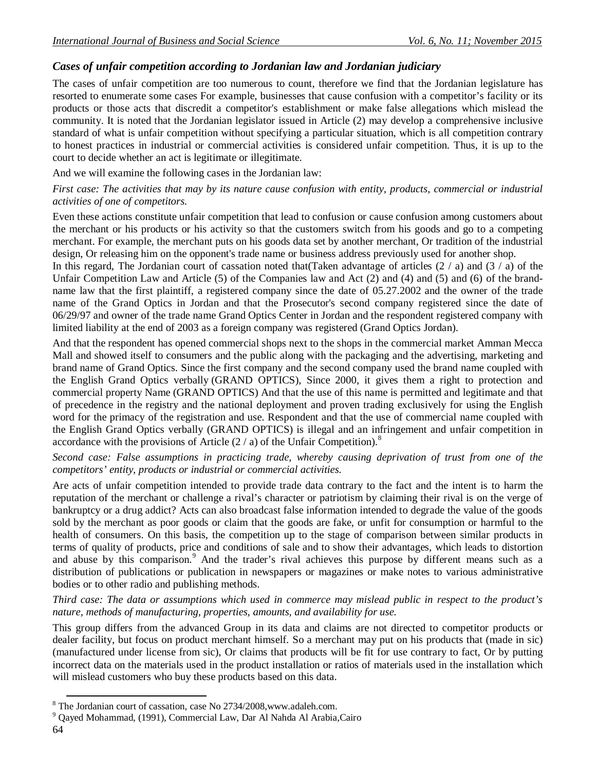#### *Cases of unfair competition according to Jordanian law and Jordanian judiciary*

The cases of unfair competition are too numerous to count, therefore we find that the Jordanian legislature has resorted to enumerate some cases For example, businesses that cause confusion with a competitor's facility or its products or those acts that discredit a competitor's establishment or make false allegations which mislead the community. It is noted that the Jordanian legislator issued in Article (2) may develop a comprehensive inclusive standard of what is unfair competition without specifying a particular situation, which is all competition contrary to honest practices in industrial or commercial activities is considered unfair competition. Thus, it is up to the court to decide whether an act is legitimate or illegitimate.

And we will examine the following cases in the Jordanian law:

#### *First case: The activities that may by its nature cause confusion with entity, products, commercial or industrial activities of one of competitors.*

Even these actions constitute unfair competition that lead to confusion or cause confusion among customers about the merchant or his products or his activity so that the customers switch from his goods and go to a competing merchant. For example, the merchant puts on his goods data set by another merchant, Or tradition of the industrial design, Or releasing him on the opponent's trade name or business address previously used for another shop.

In this regard, The Jordanian court of cassation noted that (Taken advantage of articles  $(2 / a)$  and  $(3 / a)$  of the Unfair Competition Law and Article (5) of the Companies law and Act (2) and (4) and (5) and (6) of the brandname law that the first plaintiff, a registered company since the date of 05.27.2002 and the owner of the trade name of the Grand Optics in Jordan and that the Prosecutor's second company registered since the date of 06/29/97 and owner of the trade name Grand Optics Center in Jordan and the respondent registered company with limited liability at the end of 2003 as a foreign company was registered (Grand Optics Jordan).

And that the respondent has opened commercial shops next to the shops in the commercial market Amman Mecca Mall and showed itself to consumers and the public along with the packaging and the advertising, marketing and brand name of Grand Optics. Since the first company and the second company used the brand name coupled with the English Grand Optics verbally (GRAND OPTICS), Since 2000, it gives them a right to protection and commercial property Name (GRAND OPTICS) And that the use of this name is permitted and legitimate and that of precedence in the registry and the national deployment and proven trading exclusively for using the English word for the primacy of the registration and use. Respondent and that the use of commercial name coupled with the English Grand Optics verbally (GRAND OPTICS) is illegal and an infringement and unfair competition in accordance with the provisions of Article  $(2 / a)$  of the Unfair Competition).<sup>8</sup>

*Second case: False assumptions in practicing trade, whereby causing deprivation of trust from one of the competitors' entity, products or industrial or commercial activities.*

Are acts of unfair competition intended to provide trade data contrary to the fact and the intent is to harm the reputation of the merchant or challenge a rival's character or patriotism by claiming their rival is on the verge of bankruptcy or a drug addict? Acts can also broadcast false information intended to degrade the value of the goods sold by the merchant as poor goods or claim that the goods are fake, or unfit for consumption or harmful to the health of consumers. On this basis, the competition up to the stage of comparison between similar products in terms of quality of products, price and conditions of sale and to show their advantages, which leads to distortion and abuse by this comparison.<sup>9</sup> And the trader's rival achieves this purpose by different means such as a distribution of publications or publication in newspapers or magazines or make notes to various administrative bodies or to other radio and publishing methods.

*Third case: The data or assumptions which used in commerce may mislead public in respect to the product's nature, methods of manufacturing, properties, amounts, and availability for use.*

This group differs from the advanced Group in its data and claims are not directed to competitor products or dealer facility, but focus on product merchant himself. So a merchant may put on his products that (made in sic) (manufactured under license from sic), Or claims that products will be fit for use contrary to fact, Or by putting incorrect data on the materials used in the product installation or ratios of materials used in the installation which will mislead customers who buy these products based on this data.

1

<sup>8</sup> The Jordanian court of cassation, case No 2734/2008,www.adaleh.com.

<sup>9</sup> Qayed Mohammad, (1991), Commercial Law, Dar Al Nahda Al Arabia,Cairo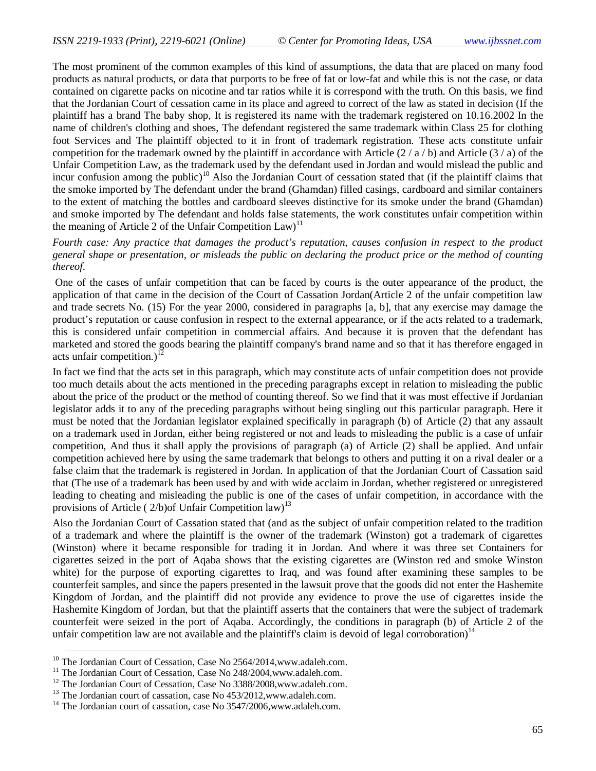The most prominent of the common examples of this kind of assumptions, the data that are placed on many food products as natural products, or data that purports to be free of fat or low-fat and while this is not the case, or data contained on cigarette packs on nicotine and tar ratios while it is correspond with the truth. On this basis, we find that the Jordanian Court of cessation came in its place and agreed to correct of the law as stated in decision (If the plaintiff has a brand The baby shop, It is registered its name with the trademark registered on 10.16.2002 In the name of children's clothing and shoes, The defendant registered the same trademark within Class 25 for clothing foot Services and The plaintiff objected to it in front of trademark registration. These acts constitute unfair competition for the trademark owned by the plaintiff in accordance with Article  $(2/a/b)$  and Article  $(3/a)$  of the Unfair Competition Law, as the trademark used by the defendant used in Jordan and would mislead the public and incur confusion among the public)<sup>10</sup> Also the Jordanian Court of cessation stated that (if the plaintiff claims that the smoke imported by The defendant under the brand (Ghamdan) filled casings, cardboard and similar containers to the extent of matching the bottles and cardboard sleeves distinctive for its smoke under the brand (Ghamdan) and smoke imported by The defendant and holds false statements, the work constitutes unfair competition within the meaning of Article 2 of the Unfair Competition  $Law$ <sup>11</sup>

*Fourth case: Any practice that damages the product's reputation, causes confusion in respect to the product general shape or presentation, or misleads the public on declaring the product price or the method of counting thereof.*

One of the cases of unfair competition that can be faced by courts is the outer appearance of the product, the application of that came in the decision of the Court of Cassation Jordan(Article 2 of the unfair competition law and trade secrets No. (15) For the year 2000, considered in paragraphs [a, b], that any exercise may damage the product's reputation or cause confusion in respect to the external appearance, or if the acts related to a trademark, this is considered unfair competition in commercial affairs. And because it is proven that the defendant has marketed and stored the goods bearing the plaintiff company's brand name and so that it has therefore engaged in acts unfair competition.)<sup>1</sup>

In fact we find that the acts set in this paragraph, which may constitute acts of unfair competition does not provide too much details about the acts mentioned in the preceding paragraphs except in relation to misleading the public about the price of the product or the method of counting thereof. So we find that it was most effective if Jordanian legislator adds it to any of the preceding paragraphs without being singling out this particular paragraph. Here it must be noted that the Jordanian legislator explained specifically in paragraph (b) of Article (2) that any assault on a trademark used in Jordan, either being registered or not and leads to misleading the public is a case of unfair competition, And thus it shall apply the provisions of paragraph (a) of Article (2) shall be applied. And unfair competition achieved here by using the same trademark that belongs to others and putting it on a rival dealer or a false claim that the trademark is registered in Jordan. In application of that the Jordanian Court of Cassation said that (The use of a trademark has been used by and with wide acclaim in Jordan, whether registered or unregistered leading to cheating and misleading the public is one of the cases of unfair competition, in accordance with the provisions of Article ( $2/b$ ) of Unfair Competition law)<sup>13</sup>

Also the Jordanian Court of Cassation stated that (and as the subject of unfair competition related to the tradition of a trademark and where the plaintiff is the owner of the trademark (Winston) got a trademark of cigarettes (Winston) where it became responsible for trading it in Jordan. And where it was three set Containers for cigarettes seized in the port of Aqaba shows that the existing cigarettes are (Winston red and smoke Winston white) for the purpose of exporting cigarettes to Iraq, and was found after examining these samples to be counterfeit samples, and since the papers presented in the lawsuit prove that the goods did not enter the Hashemite Kingdom of Jordan, and the plaintiff did not provide any evidence to prove the use of cigarettes inside the Hashemite Kingdom of Jordan, but that the plaintiff asserts that the containers that were the subject of trademark counterfeit were seized in the port of Aqaba. Accordingly, the conditions in paragraph (b) of Article 2 of the unfair competition law are not available and the plaintiff's claim is devoid of legal corroboration)<sup>14</sup>

-

<sup>&</sup>lt;sup>10</sup> The Jordanian Court of Cessation, Case No 2564/2014, www.adaleh.com.

<sup>&</sup>lt;sup>11</sup> The Jordanian Court of Cessation, Case No 248/2004, www.adaleh.com.

<sup>&</sup>lt;sup>12</sup> The Jordanian Court of Cessation, Case No 3388/2008, www.adaleh.com.

<sup>&</sup>lt;sup>13</sup> The Jordanian court of cassation, case No 453/2012, www.adaleh.com.

 $14$  The Jordanian court of cassation, case No 3547/2006, www.adaleh.com.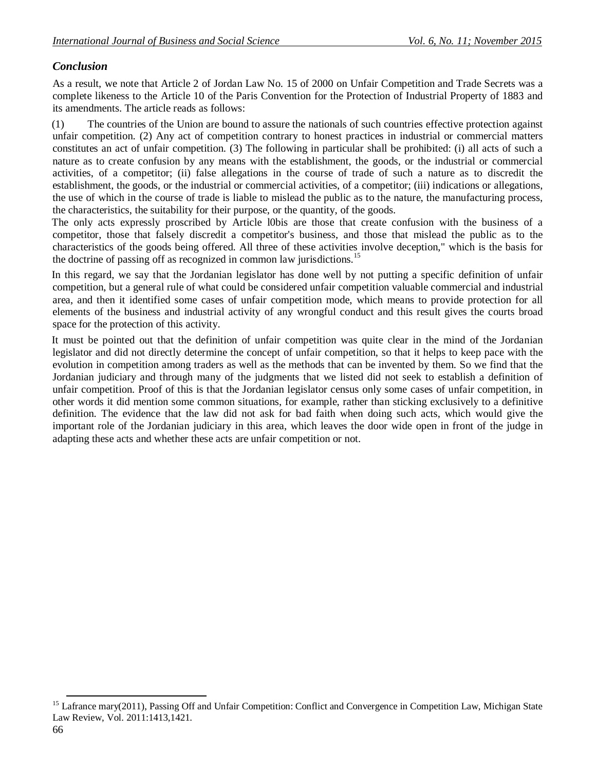# *Conclusion*

As a result, we note that Article 2 of Jordan Law No. 15 of 2000 on Unfair Competition and Trade Secrets was a complete likeness to the Article 10 of the Paris Convention for the Protection of Industrial Property of 1883 and its amendments. The article reads as follows:

(1) The countries of the Union are bound to assure the nationals of such countries effective protection against unfair competition. (2) Any act of competition contrary to honest practices in industrial or commercial matters constitutes an act of unfair competition. (3) The following in particular shall be prohibited: (i) all acts of such a nature as to create confusion by any means with the establishment, the goods, or the industrial or commercial activities, of a competitor; (ii) false allegations in the course of trade of such a nature as to discredit the establishment, the goods, or the industrial or commercial activities, of a competitor; (iii) indications or allegations, the use of which in the course of trade is liable to mislead the public as to the nature, the manufacturing process, the characteristics, the suitability for their purpose, or the quantity, of the goods.

The only acts expressly proscribed by Article l0bis are those that create confusion with the business of a competitor, those that falsely discredit a competitor's business, and those that mislead the public as to the characteristics of the goods being offered. All three of these activities involve deception," which is the basis for the doctrine of passing off as recognized in common law jurisdictions.<sup>15</sup>

In this regard, we say that the Jordanian legislator has done well by not putting a specific definition of unfair competition, but a general rule of what could be considered unfair competition valuable commercial and industrial area, and then it identified some cases of unfair competition mode, which means to provide protection for all elements of the business and industrial activity of any wrongful conduct and this result gives the courts broad space for the protection of this activity.

It must be pointed out that the definition of unfair competition was quite clear in the mind of the Jordanian legislator and did not directly determine the concept of unfair competition, so that it helps to keep pace with the evolution in competition among traders as well as the methods that can be invented by them. So we find that the Jordanian judiciary and through many of the judgments that we listed did not seek to establish a definition of unfair competition. Proof of this is that the Jordanian legislator census only some cases of unfair competition, in other words it did mention some common situations, for example, rather than sticking exclusively to a definitive definition. The evidence that the law did not ask for bad faith when doing such acts, which would give the important role of the Jordanian judiciary in this area, which leaves the door wide open in front of the judge in adapting these acts and whether these acts are unfair competition or not.

1

<sup>&</sup>lt;sup>15</sup> Lafrance mary(2011), Passing Off and Unfair Competition: Conflict and Convergence in Competition Law, Michigan State Law Review, Vol. 2011:1413,1421.